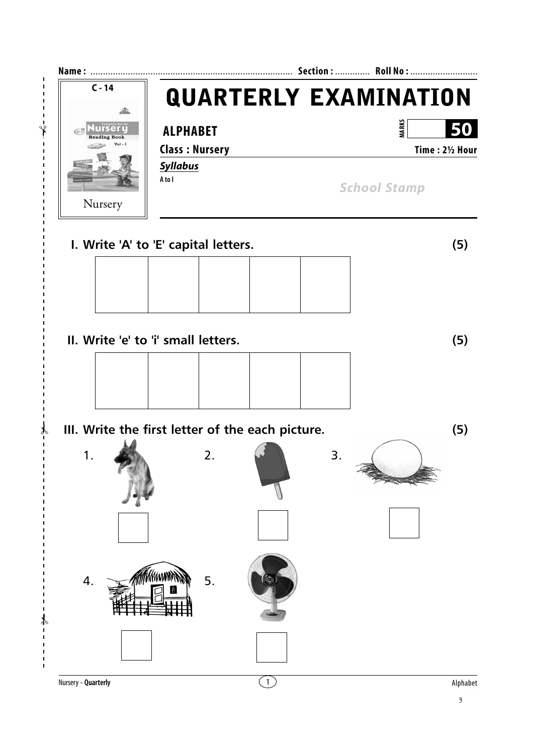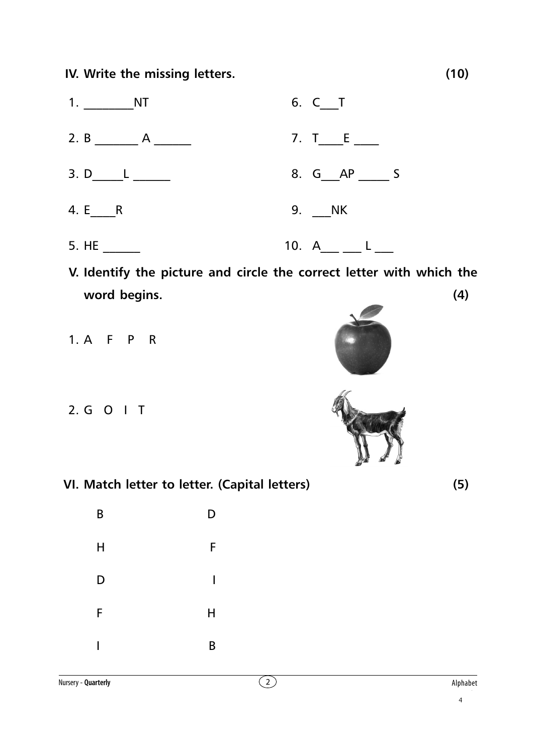**IV. Write the missing letters. (10)**



- **V. Identify the picture and circle the correct letter with which the word begins. (4)**
- 1. A F P R
- 2. G O I T
- **VI. Match letter to letter. (Capital letters) (5)**

B D

H F

D I